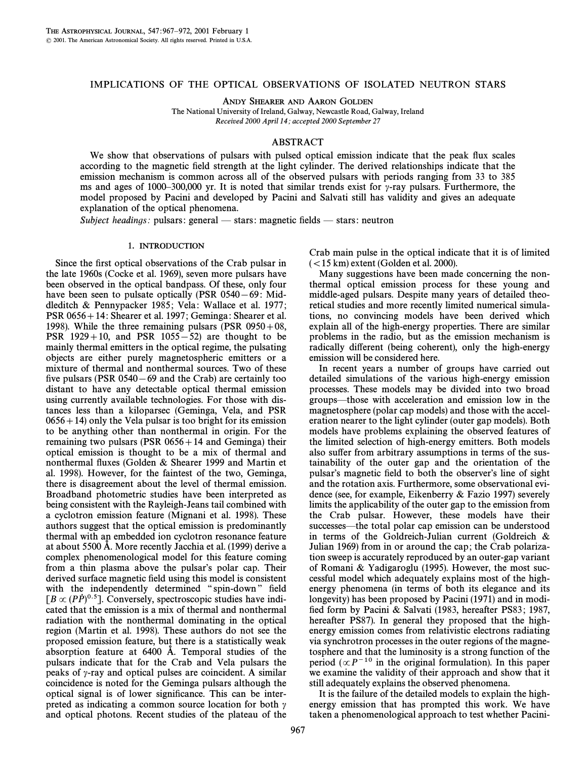# IMPLICATIONS OF THE OPTICAL OBSERVATIONS OF ISOLATED NEUTRON STARS

ANDY SHEARER AND AARON GOLDEN

The National University of Ireland, Galway, Newcastle Road, Galway, Ireland Received 2000 April 14; accepted 2000 September 27

## ABSTRACT

We show that observations of pulsars with pulsed optical emission indicate that the peak flux scales according to the magnetic field strength at the light cylinder. The derived relationships indicate that the emission mechanism is common across all of the observed pulsars with periods ranging from 33 to 385 ms and ages of 1000–300,000 yr. It is noted that similar trends exist for  $\gamma$ -ray pulsars. Furthermore, the model proposed by Pacini and developed by Pacini and Salvati still has validity and gives an adequate explanation of the optical phenomena.

Subject headings: pulsars: general  $-$  stars: magnetic fields  $-$  stars: neutron

#### 1. INTRODUCTION

Since the first optical observations of the Crab pulsar in the late 1960s (Cocke et al. 1969), seven more pulsars have been observed in the optical bandpass. Of these, only four have been seen to pulsate optically (PSR  $0540-69$ : Middleditch & Pennypacker 1985; Vela: Wallace et al. 1977; PSR  $0656 + 14$ : Shearer et al. 1997; Geminga: Shearer et al. 1998). While the three remaining pulsars (PSR  $0950+08$ , PSR  $1929+10$ , and PSR  $1055-52$ ) are thought to be mainly thermal emitters in the optical regime, the pulsating objects are either purely magnetospheric emitters or a mixture of thermal and nonthermal sources. Two of these five pulsars (PSR  $0540-69$  and the Crab) are certainly too distant to have any detectable optical thermal emission using currently available technologies. For those with distances less than a kiloparsec (Geminga, Vela, and PSR  $0656 + 14$ ) only the Vela pulsar is too bright for its emission to be anything other than nonthermal in origin. For the remaining two pulsars (PSR  $0656+14$  and Geminga) their optical emission is thought to be a mix of thermal and nonthermal Ñuxes (Golden & Shearer 1999 and Martin et al. 1998). However, for the faintest of the two, Geminga, there is disagreement about the level of thermal emission. Broadband photometric studies have been interpreted as being consistent with the Rayleigh-Jeans tail combined with a cyclotron emission feature (Mignani et al. 1998). These authors suggest that the optical emission is predominantly thermal with an embedded ion cyclotron resonance feature at about 5500 Å. More recently Jacchia et al. (1999) derive a complex phenomenological model for this feature coming from a thin plasma above the pulsar's polar cap. Their derived surface magnetic field using this model is consistent with the independently determined "spin-down" field  $[B \propto (P\dot{P})^{0.5}]$ . Conversely, spectroscopic studies have indicated that the emission is a mix of thermal and nonthermal radiation with the nonthermal dominating in the optical region (Martin et al. 1998). These authors do not see the proposed emission feature, but there is a statistically weak absorption feature at  $6400$  Å. Temporal studies of the pulsars indicate that for the Crab and Vela pulsars the peaks of  $\gamma$ -ray and optical pulses are coincident. A similar coincidence is noted for the Geminga pulsars although the optical signal is of lower significance. This can be interpreted as indicating a common source location for both  $\gamma$ and optical photons. Recent studies of the plateau of the Crab main pulse in the optical indicate that it is of limited  $(<$ 15 km) extent (Golden et al. 2000).

Many suggestions have been made concerning the nonthermal optical emission process for these young and middle-aged pulsars. Despite many years of detailed theoretical studies and more recently limited numerical simulations, no convincing models have been derived which explain all of the high-energy properties. There are similar problems in the radio, but as the emission mechanism is radically different (being coherent), only the high-energy emission will be considered here.

In recent years a number of groups have carried out detailed simulations of the various high-energy emission processes. These models may be divided into two broad groups—those with acceleration and emission low in the magnetosphere (polar cap models) and those with the acceleration nearer to the light cylinder (outer gap models). Both models have problems explaining the observed features of the limited selection of high-energy emitters. Both models also suffer from arbitrary assumptions in terms of the sustainability of the outer gap and the orientation of the pulsar's magnetic field to both the observer's line of sight and the rotation axis. Furthermore, some observational evidence (see, for example, Eikenberry & Fazio 1997) severely limits the applicability of the outer gap to the emission from the Crab pulsar. However, these models have their successes—the total polar cap emission can be understood in terms of the Goldreich-Julian current (Goldreich & Julian 1969) from in or around the cap; the Crab polarization sweep is accurately reproduced by an outer-gap variant of Romani & Yadigaroglu (1995). However, the most successful model which adequately explains most of the highenergy phenomena (in terms of both its elegance and its longevity) has been proposed by Pacini (1971) and in modified form by Pacini & Salvati (1983, hereafter PS83; 1987, hereafter PS87). In general they proposed that the highenergy emission comes from relativistic electrons radiating via synchrotron processes in the outer regions of the magnetosphere and that the luminosity is a strong function of the period ( $\propto P^{-10}$  in the original formulation). In this paper we examine the validity of their approach and show that it still adequately explains the observed phenomena.

It is the failure of the detailed models to explain the highenergy emission that has prompted this work. We have taken a phenomenological approach to test whether Pacini-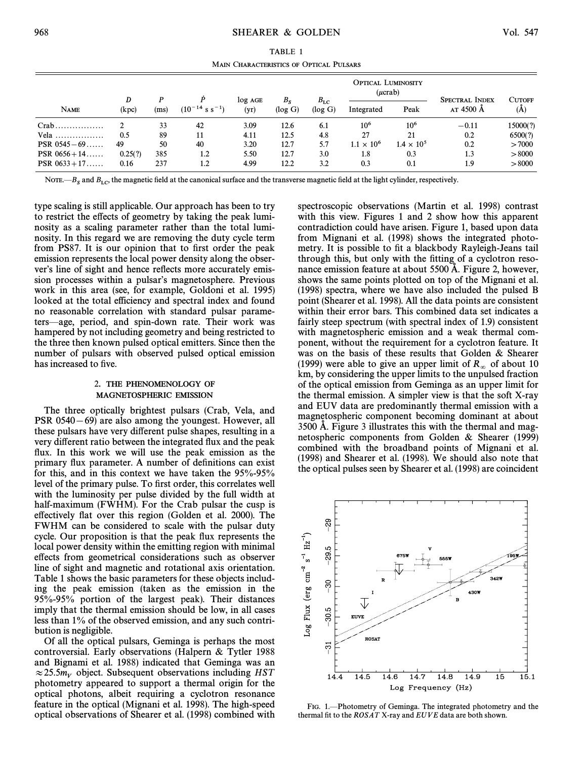TABLE 1 MAIN CHARACTERISTICS OF OPTICAL PULSARS

|                        | D       |      |                               | $log$ AGE | $B_{S}$ | $B_{\rm LC}$ | <b>OPTICAL LUMINOSITY</b><br>$(\mu$ crab) |                     | <b>SPECTRAL INDEX</b> | <b>CUTOFF</b> |
|------------------------|---------|------|-------------------------------|-----------|---------|--------------|-------------------------------------------|---------------------|-----------------------|---------------|
| <b>NAME</b>            | (kpc)   | (ms) | $(10^{-14} \text{ s s}^{-1})$ | (yr)      | (log G) | (log G)      | Integrated                                | Peak                | AT 4500 Å             | (A)           |
| $Crab$                 |         | 33   | 42                            | 3.09      | 12.6    | 6.1          | 10 <sup>6</sup>                           | 10 <sup>6</sup>     | $-0.11$               | 15000(?)      |
| Vela                   | 0.5     | 89   | 11                            | 4.11      | 12.5    | 4.8          | 27                                        | 21                  | 0.2                   | 6500(?)       |
| PSR $0545 - 69$        | 49      | 50   | 40                            | 3.20      | 12.7    | 5.7          | $1.1 \times 10^{6}$                       | $1.4 \times 10^{5}$ | 0.2                   | >7000         |
| <b>PSR</b> $0656 + 14$ | 0.25(?) | 385  | 1.2                           | 5.50      | 12.7    | 3.0          | 1.8                                       | 0.3                 | 1.3                   | > 8000        |
| <b>PSR</b> $0633 + 17$ | 0.16    | 237  | 1.2                           | 4.99      | 12.2    | 3.2          | 0.3                                       | 0.1                 | 1.9                   | > 8000        |

NOTE.— $B_s$  and  $B_{LC}$ , the magnetic field at the canonical surface and the transverse magnetic field at the light cylinder, respectively.

type scaling is still applicable. Our approach has been to try to restrict the effects of geometry by taking the peak luminosity as a scaling parameter rather than the total luminosity. In this regard we are removing the duty cycle term from PS87. It is our opinion that to first order the peak emission represents the local power density along the observer's line of sight and hence reflects more accurately emission processes within a pulsar's magnetosphere. Previous work in this area (see, for example, Goldoni et al. 1995) looked at the total efficiency and spectral index and found no reasonable correlation with standard pulsar parameters—age, period, and spin-down rate. Their work was hampered by not including geometry and being restricted to the three then known pulsed optical emitters. Since then the number of pulsars with observed pulsed optical emission has increased to five.

### 2. THE PHENOMENOLOGY OF MAGNETOSPHERIC EMISSION

The three optically brightest pulsars (Crab, Vela, and PSR  $0540-69$ ) are also among the youngest. However, all these pulsars have very different pulse shapes, resulting in a very different ratio between the integrated flux and the peak flux. In this work we will use the peak emission as the primary flux parameter. A number of definitions can exist for this, and in this context we have taken the 95%-95% level of the primary pulse. To first order, this correlates well with the luminosity per pulse divided by the full width at half-maximum (FWHM). For the Crab pulsar the cusp is effectively flat over this region (Golden et al. 2000). The FWHM can be considered to scale with the pulsar duty cycle. Our proposition is that the peak flux represents the local power density within the emitting region with minimal e†ects from geometrical considerations such as observer line of sight and magnetic and rotational axis orientation. Table 1 shows the basic parameters for these objects including the peak emission (taken as the emission in the 95%-95% portion of the largest peak). Their distances imply that the thermal emission should be low, in all cases less than 1% of the observed emission, and any such contribution is negligible.

Of all the optical pulsars, Geminga is perhaps the most controversial. Early observations (Halpern & Tytler 1988 and Bignami et al. 1988) indicated that Geminga was an  $\approx 25.5m_V$  object. Subsequent observations including HST photometry appeared to support a thermal origin for the optical photons, albeit requiring a cyclotron resonance feature in the optical (Mignani et al. 1998). The high-speed optical observations of Shearer et al. (1998) combined with spectroscopic observations (Martin et al. 1998) contrast with this view. Figures 1 and 2 show how this apparent contradiction could have arisen. Figure 1, based upon data from Mignani et al. (1998) shows the integrated photometry. It is possible to fit a blackbody Rayleigh-Jeans tail through this, but only with the fitting of a cyclotron resonance emission feature at about 5500 A. Figure 2, however, shows the same points plotted on top of the Mignani et al. (1998) spectra, where we have also included the pulsed B point (Shearer et al. 1998). All the data points are consistent within their error bars. This combined data set indicates a fairly steep spectrum (with spectral index of 1.9) consistent with magnetospheric emission and a weak thermal component, without the requirement for a cyclotron feature. It was on the basis of these results that Golden & Shearer (1999) were able to give an upper limit of  $R_{\infty}$  of about 10 km, by considering the upper limits to the unpulsed fraction of the optical emission from Geminga as an upper limit for the thermal emission. A simpler view is that the soft X-ray and EUV data are predominantly thermal emission with a magnetospheric component becoming dominant at about 3500 A. Figure 3 illustrates this with the thermal and magnetospheric components from Golden & Shearer (1999) combined with the broadband points of Mignani et al. (1998) and Shearer et al. (1998). We should also note that the optical pulses seen by Shearer et al. (1998) are coincident



FIG. 1.—Photometry of Geminga. The integrated photometry and the thermal fit to the  $ROSAT$  X-ray and  $EUVE$  data are both shown.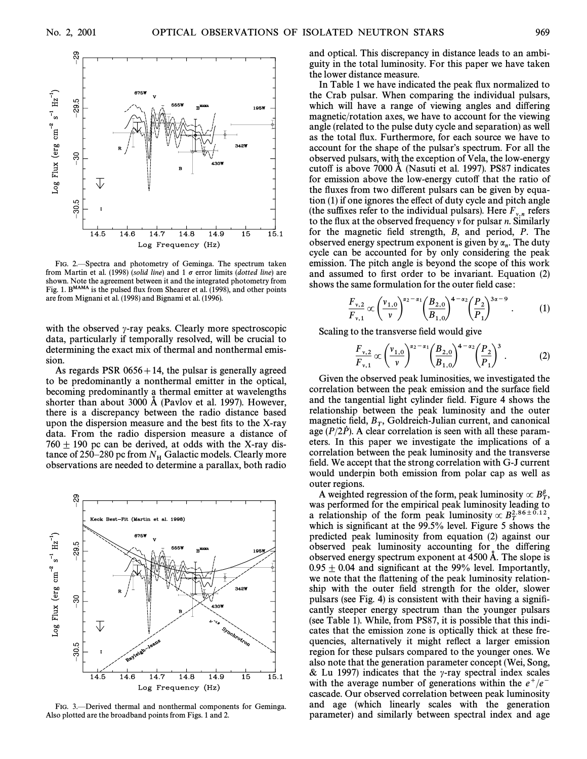

FIG. 2.-Spectra and photometry of Geminga. The spectrum taken from Martin et al. (1998) (solid line) and 1  $\sigma$  error limits (dotted line) are shown. Note the agreement between it and the integrated photometry from Fig. 1. B<sup>MAMA</sup> is the pulsed flux from Shearer et al. (1998), and other points are from Mignani et al. (1998) and Bignami et al. (1996).

with the observed  $\gamma$ -ray peaks. Clearly more spectroscopic data, particularly if temporally resolved, will be crucial to determining the exact mix of thermal and nonthermal emission.

As regards PSR  $0656+14$ , the pulsar is generally agreed to be predominantly a nonthermal emitter in the optical, becoming predominantly a thermal emitter at wavelengths shorter than about 3000  $\AA$  (Pavlov et al. 1997). However, there is a discrepancy between the radio distance based upon the dispersion measure and the best fits to the X-ray data. From the radio dispersion measure a distance of  $760 \pm 190$  pc can be derived, at odds with the X-ray distance of 250–280 pc from  $N_H$  Galactic models. Clearly more observations are needed to determine a parallax, both radio



FIG. 3.—Derived thermal and nonthermal components for Geminga. Also plotted are the broadband points from Figs. 1 and 2.

and optical. This discrepancy in distance leads to an ambiguity in the total luminosity. For this paper we have taken the lower distance measure.

In Table 1 we have indicated the peak flux normalized to the Crab pulsar. When comparing the individual pulsars, which will have a range of viewing angles and differing magnetic/rotation axes, we have to account for the viewing angle (related to the pulse duty cycle and separation) as well as the total flux. Furthermore, for each source we have to account for the shape of the pulsar's spectrum. For all the observed pulsars, with the exception of Vela, the low-energy cutoff is above  $7000 \text{ Å}$  (Nasuti et al. 1997). PS87 indicates for emission above the low-energy cutoff that the ratio of the fluxes from two different pulsars can be given by equation (1) if one ignores the effect of duty cycle and pitch angle (the suffixes refer to the individual pulsars). Here  $F_{v,n}$  refers to the flux at the observed frequency v for pulsar n. Similarly for the magnetic field strength,  $B$ , and period,  $P$ . The observed energy spectrum exponent is given by  $\alpha_n$ . The duty cycle can be accounted for by only considering the peak emission. The pitch angle is beyond the scope of this work and assumed to first order to be invariant. Equation (2)

shows the same formulation for the outer field case:  
\n
$$
\frac{F_{v,2}}{F_{v,1}} \propto \left(\frac{v_{1,0}}{v}\right)^{\alpha_2 - \alpha_1} \left(\frac{B_{2,0}}{B_{1,0}}\right)^{4-\alpha_2} \left(\frac{P_2}{P_1}\right)^{3\alpha - 9}.
$$
 (1)

Scaling to the transverse field would give  
\n
$$
\frac{F_{v,2}}{F_{v,1}} \propto \left(\frac{v_{1,0}}{v}\right)^{\alpha_2 - \alpha_1} \left(\frac{B_{2,0}}{B_{1,0}}\right)^{4-\alpha_2} \left(\frac{P_2}{P_1}\right)^3.
$$
\n(2)

Given the observed peak luminosities, we investigated the correlation between the peak emission and the surface field and the tangential light cylinder field. Figure 4 shows the relationship between the peak luminosity and the outer magnetic field,  $B_T$ , Goldreich-Julian current, and canonical  $B_T$ ,  $\Delta$  clear correlation is seen with all these paramage  $(P/2P)$ . A clear correlation is seen with all these parameters. In this paper we investigate the implications of a correlation between the peak luminosity and the transverse field. We accept that the strong correlation with G-J current would underpin both emission from polar cap as well as outer regions.

A weighted regression of the form, peak luminosity  $\propto B_T^{\beta}$ , was performed for the empirical peak luminosity leading to a relationship of the form peak luminosity  $\propto B_T^{2.86\pm0.12}$ ,<br>which is significant at the 99.5% level. Figure 5 shows the which is significant at the  $99.5\%$  level. Figure 5 shows the predicted peak luminosity from equation (2) against our observed peak luminosity accounting for the differing observed energy spectrum exponent at  $4500 \text{ Å}$ . The slope is  $0.95 \pm 0.04$  and significant at the 99% level. Importantly, we note that the flattening of the peak luminosity relationship with the outer field strength for the older, slower pulsars (see Fig. 4) is consistent with their having a signiÐcantly steeper energy spectrum than the younger pulsars (see Table 1). While, from PS87, it is possible that this indicates that the emission zone is optically thick at these frequencies, alternatively it might reflect a larger emission region for these pulsars compared to the younger ones. We also note that the generation parameter concept (Wei, Song, & Lu 1997) indicates that the  $\gamma$ -ray spectral index scales with the average number of generations within the  $e^+/e^$ cascade. Our observed correlation between peak luminosity and age (which linearly scales with the generation parameter) and similarly between spectral index and age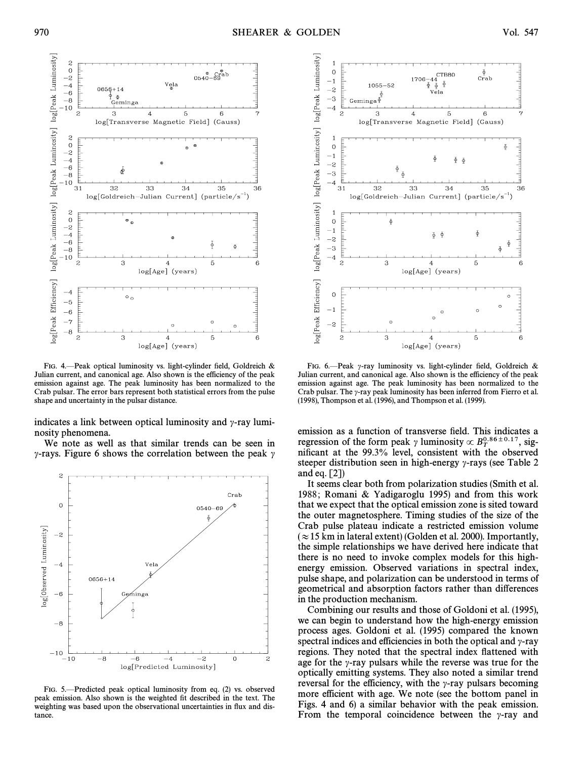

FIG. 4. Peak optical luminosity vs. light-cylinder field, Goldreich & Julian current, and canonical age. Also shown is the efficiency of the peak emission against age. The peak luminosity has been normalized to the Crab pulsar. The error bars represent both statistical errors from the pulse shape and uncertainty in the pulsar distance.

indicates a link between optical luminosity and  $\gamma$ -ray luminosity phenomena.

We note as well as that similar trends can be seen in  $\gamma$ -rays. Figure 6 shows the correlation between the peak  $\gamma$ 



FIG. 5.—Predicted peak optical luminosity from eq. (2) vs. observed peak emission. Also shown is the weighted fit described in the text. The weighting was based upon the observational uncertainties in flux and distance.



FIG. 6.-Peak  $\gamma$ -ray luminosity vs. light-cylinder field, Goldreich & Julian current, and canonical age. Also shown is the efficiency of the peak emission against age. The peak luminosity has been normalized to the Crab pulsar. The  $\gamma$ -ray peak luminosity has been inferred from Fierro et al. (1998), Thompson et al. (1996), and Thompson et al. (1999).

emission as a function of transverse field. This indicates a regression of the form peak y luminosity  $\propto B_T^{0.86\pm0.17}$ , sig-<br>nificant at the 99.3% level, consistent with the observed nificant at the 99.3% level, consistent with the observed steeper distribution seen in high-energy  $\gamma$ -rays (see Table 2) and eq. [2])

It seems clear both from polarization studies (Smith et al. 1988; Romani & Yadigaroglu 1995) and from this work that we expect that the optical emission zone is sited toward the outer magnetosphere. Timing studies of the size of the Crab pulse plateau indicate a restricted emission volume  $(\approx 15 \text{ km in lateral extent})$  (Golden et al. 2000). Importantly, the simple relationships we have derived here indicate that there is no need to invoke complex models for this highenergy emission. Observed variations in spectral index, pulse shape, and polarization can be understood in terms of geometrical and absorption factors rather than differences in the production mechanism.

Combining our results and those of Goldoni et al. (1995), we can begin to understand how the high-energy emission process ages. Goldoni et al. (1995) compared the known spectral indices and efficiencies in both the optical and  $\gamma$ -ray regions. They noted that the spectral index flattened with age for the  $\gamma$ -ray pulsars while the reverse was true for the optically emitting systems. They also noted a similar trend reversal for the efficiency, with the  $\gamma$ -ray pulsars becoming more efficient with age. We note (see the bottom panel in Figs. 4 and 6) a similar behavior with the peak emission. From the temporal coincidence between the  $\gamma$ -ray and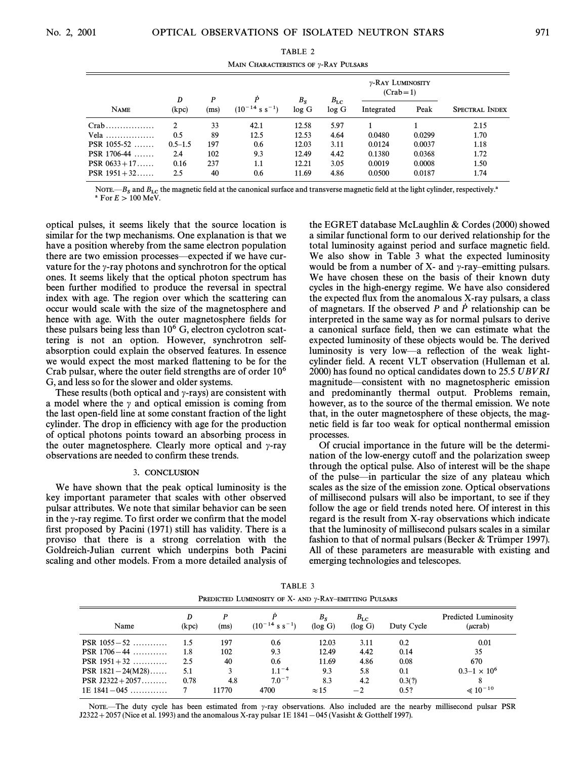| MAIN CHARACTERISTICS OF y-RAY PULSARS |                |      |                               |         |              |                                |        |                       |  |
|---------------------------------------|----------------|------|-------------------------------|---------|--------------|--------------------------------|--------|-----------------------|--|
|                                       | D              | P    | P                             | $B_{S}$ | $B_{\rm LC}$ | y-RAY LUMINOSITY<br>$(Crab=1)$ |        |                       |  |
| <b>NAME</b>                           | (kpc)          | (ms) | $(10^{-14} \text{ s s}^{-1})$ | log G   | log G        | Integrated                     | Peak   | <b>SPECTRAL INDEX</b> |  |
| $Crab$                                | $\mathfrak{D}$ | 33   | 42.1                          | 12.58   | 5.97         |                                |        | 2.15                  |  |
| Vela                                  | 0.5            | 89   | 12.5                          | 12.53   | 4.64         | 0.0480                         | 0.0299 | 1.70                  |  |
| <b>PSR</b> 1055-52                    | $0.5 - 1.5$    | 197  | 0.6                           | 12.03   | 3.11         | 0.0124                         | 0.0037 | 1.18                  |  |
| <b>PSR</b> 1706-44                    | 2.4            | 102  | 9.3                           | 12.49   | 4.42         | 0.1380                         | 0.0368 | 1.72                  |  |
| PSR $0633 + 17$                       | 0.16           | 237  | 1.1                           | 12.21   | 3.05         | 0.0019                         | 0.0008 | 1.50                  |  |
| PSR $1951 + 32$                       | 2.5            | 40   | 0.6                           | 11.69   | 4.86         | 0.0500                         | 0.0187 | 1.74                  |  |

NOTE.— $B_s$  and  $B_{LC}$  the magnetic field at the canonical surface and transverse magnetic field at the light cylinder, respectively.<sup>4</sup> <sup>a</sup> For  $E > 100$  MeV.

optical pulses, it seems likely that the source location is similar for the twp mechanisms. One explanation is that we have a position whereby from the same electron population there are two emission processes—expected if we have curvature for the  $\gamma$ -ray photons and synchrotron for the optical ones. It seems likely that the optical photon spectrum has been further modified to produce the reversal in spectral index with age. The region over which the scattering can occur would scale with the size of the magnetosphere and hence with age. With the outer magnetosphere fields for these pulsars being less than  $10^6$  G, electron cyclotron scattering is not an option. However, synchrotron selfabsorption could explain the observed features. In essence we would expect the most marked flattening to be for the Crab pulsar, where the outer field strengths are of order  $10<sup>6</sup>$ G, and less so for the slower and older systems.

These results (both optical and  $\gamma$ -rays) are consistent with a model where the  $\gamma$  and optical emission is coming from the last open-field line at some constant fraction of the light cylinder. The drop in efficiency with age for the production of optical photons points toward an absorbing process in the outer magnetosphere. Clearly more optical and  $\gamma$ -ray observations are needed to confirm these trends.

### 3. CONCLUSION

We have shown that the peak optical luminosity is the key important parameter that scales with other observed pulsar attributes. We note that similar behavior can be seen in the  $\gamma$ -ray regime. To first order we confirm that the model first proposed by Pacini (1971) still has validity. There is a proviso that there is a strong correlation with the Goldreich-Julian current which underpins both Pacini scaling and other models. From a more detailed analysis of the EGRET database McLaughlin  $\&$  Cordes (2000) showed a similar functional form to our derived relationship for the total luminosity against period and surface magnetic field. We also show in Table 3 what the expected luminosity would be from a number of  $X$ - and  $\gamma$ -ray-emitting pulsars. We have chosen these on the basis of their known duty cycles in the high-energy regime. We have also considered the expected flux from the anomalous X-ray pulsars, a class of magnetars. If the observed P and  $\dot{P}$  relationship can be interpreted in the same way as for normal pulsars to derive a canonical surface field, then we can estimate what the expected luminosity of these objects would be. The derived luminosity is very low—a reflection of the weak lightcylinder field. A recent VLT observation (Hulleman et al. 2000) has found no optical candidates down to 25.5 UBVRI magnitude—consistent with no magnetospheric emission and predominantly thermal output. Problems remain, however, as to the source of the thermal emission. We note that, in the outer magnetosphere of these objects, the magnetic field is far too weak for optical nonthermal emission processes.

Of crucial importance in the future will be the determination of the low-energy cutoff and the polarization sweep through the optical pulse. Also of interest will be the shape of the pulse—in particular the size of any plateau which scales as the size of the emission zone. Optical observations of millisecond pulsars will also be important, to see if they follow the age or field trends noted here. Of interest in this regard is the result from X-ray observations which indicate that the luminosity of millisecond pulsars scales in a similar fashion to that of normal pulsars (Becker  $&$  Trümper 1997). All of these parameters are measurable with existing and emerging technologies and telescopes.

TABLE 3 PREDICTED LUMINOSITY OF  $X$ - AND  $\gamma$ -RAY-EMITTING PULSARS

| Name                   | D<br>(kpc) | (ms)  | $(10^{-14} \text{ s s}^{-1})$ | $B_{S}$<br>(log G) | $B_{\rm LC}$<br>(log G) | Duty Cycle | <b>Predicted Luminosity</b><br>$(\mu$ crab) |
|------------------------|------------|-------|-------------------------------|--------------------|-------------------------|------------|---------------------------------------------|
| <b>PSR</b> $1055 - 52$ | 1.5        | 197   | 0.6                           | 12.03              | 3.11                    | 0.2        | 0.01                                        |
| <b>PSR</b> $1706 - 44$ | 1.8        | 102   | 9.3                           | 12.49              | 4.42                    | 0.14       | 35                                          |
| <b>PSR</b> $1951 + 32$ | 2.5        | 40    | 0.6                           | 11.69              | 4.86                    | 0.08       | 670                                         |
| PSR $1821 - 24(M28)$   | 5.1        |       | $1.1^{-4}$                    | 9.3                | 5.8                     | 0.1        | $0.3 - 1 \times 10^6$                       |
| PSR $J2322 + 2057$     | 0.78       | 4.8   | $7.0^{-7}$                    | 8.3                | 4.2                     | 0.3(?)     |                                             |
| $1E$ 1841 $-045$       |            | 11770 | 4700                          | $\approx$ 15       | $-2$                    | 0.5?       | $\ll 10^{-10}$                              |

NOTE—The duty cycle has been estimated from  $\gamma$ -ray observations. Also included are the nearby millisecond pulsar PSR J2322+2057 (Nice et al. 1993) and the anomalous X-ray pulsar 1E 1841 - 045 (Vasisht & Gotthelf 1997).